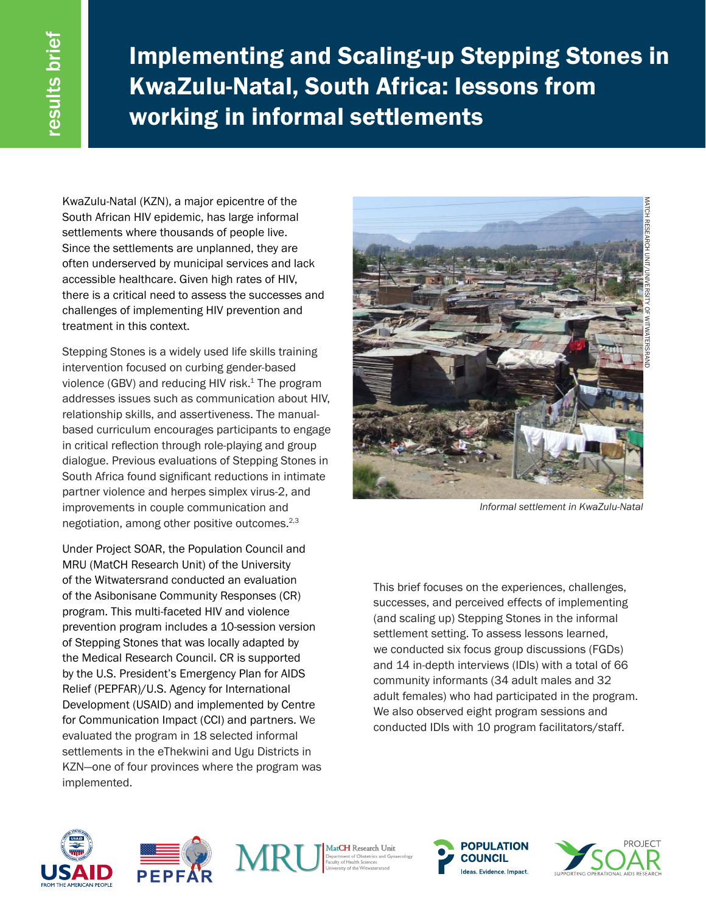Implementing and Scaling-up Stepping Stones in KwaZulu-Natal, South Africa: lessons from working in informal settlements

KwaZulu-Natal (KZN), a major epicentre of the South African HIV epidemic, has large informal settlements where thousands of people live. Since the settlements are unplanned, they are often underserved by municipal services and lack accessible healthcare. Given high rates of HIV, there is a critical need to assess the successes and challenges of implementing HIV prevention and treatment in this context.

Stepping Stones is a widely used life skills training intervention focused on curbing gender-based violence (GBV) and reducing HIV risk. $1$  The program addresses issues such as communication about HIV, relationship skills, and assertiveness. The manualbased curriculum encourages participants to engage in critical reflection through role-playing and group dialogue. Previous evaluations of Stepping Stones in South Africa found significant reductions in intimate partner violence and herpes simplex virus-2, and improvements in couple communication and negotiation, among other positive outcomes.2,3

Under Project SOAR, the Population Council and MRU (MatCH Research Unit) of the University of the Witwatersrand conducted an evaluation of the Asibonisane Community Responses (CR) program. This multi-faceted HIV and violence prevention program includes a 10-session version of Stepping Stones that was locally adapted by the Medical Research Council. CR is supported by the U.S. President's Emergency Plan for AIDS Relief (PEPFAR)/U.S. Agency for International Development (USAID) and implemented by Centre for Communication Impact (CCI) and partners. We evaluated the program in 18 selected informal settlements in the eThekwini and Ugu Districts in KZN—one of four provinces where the program was implemented.



*Informal settlement in KwaZulu-Natal*

This brief focuses on the experiences, challenges, successes, and perceived effects of implementing (and scaling up) Stepping Stones in the informal settlement setting. To assess lessons learned, we conducted six focus group discussions (FGDs) and 14 in-depth interviews (IDIs) with a total of 66 community informants (34 adult males and 32 adult females) who had participated in the program. We also observed eight program sessions and conducted IDIs with 10 program facilitators/staff.









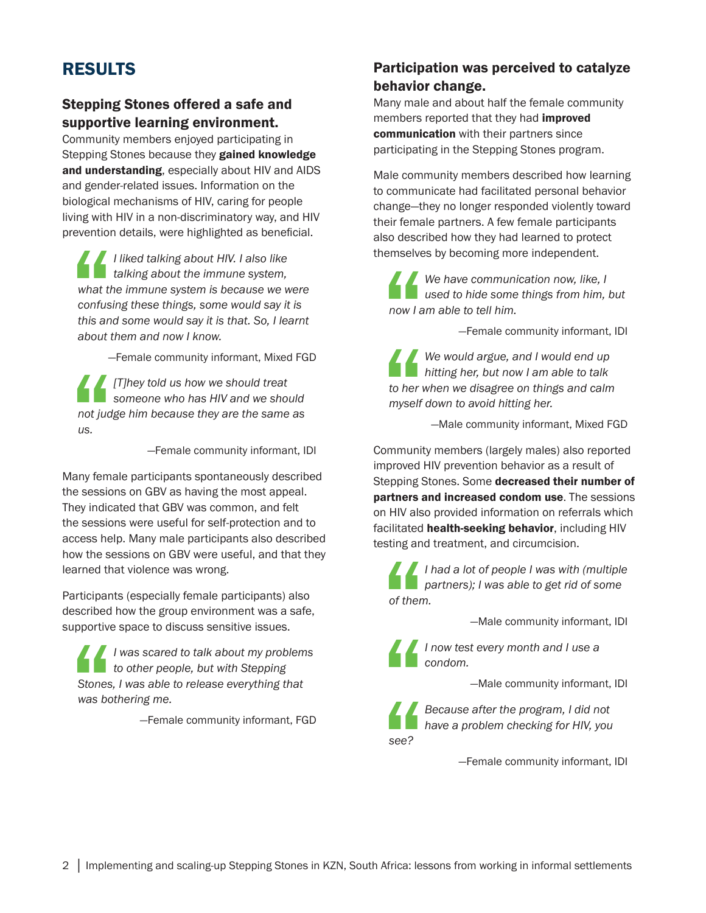# RESULTS

### Stepping Stones offered a safe and supportive learning environment.

Community members enjoyed participating in Stepping Stones because they gained knowledge and understanding, especially about HIV and AIDS and gender-related issues. Information on the biological mechanisms of HIV, caring for people living with HIV in a non-discriminatory way, and HIV prevention details, were highlighted as beneficial.

What the confusion of the confusion about the conduction of the conduction of the conduction of the conduction  $\mathcal{L}$  about the conduction of the conduction of the conduction of the conduction of the conduction  $\mathcal{L}$  *I liked talking about HIV. I also like talking about the immune system, what the immune system is because we were confusing these things, some would say it is this and some would say it is that. So, I learnt about them and now I know.* 

—Female community informant, Mixed FGD

not judget *[T]hey told us how we should treat someone who has HIV and we should not judge him because they are the same as us.* 

—Female community informant, IDI

Many female participants spontaneously described the sessions on GBV as having the most appeal. They indicated that GBV was common, and felt the sessions were useful for self-protection and to access help. Many male participants also described how the sessions on GBV were useful, and that they learned that violence was wrong.

Participants (especially female participants) also described how the group environment was a safe, supportive space to discuss sensitive issues.

Stones<br>
was bo *I was scared to talk about my problems to other people, but with Stepping Stones, I was able to release everything that was bothering me.* 

—Female community informant, FGD

## Participation was perceived to catalyze behavior change.

Many male and about half the female community members reported that they had **improved** communication with their partners since participating in the Stepping Stones program.

Male community members described how learning to communicate had facilitated personal behavior change—they no longer responded violently toward their female partners. A few female participants also described how they had learned to protect themselves by becoming more independent.

 $\frac{1}{\sqrt{2}}$ *We have communication now, like, I used to hide some things from him, but now I am able to tell him.* 

—Female community informant, IDI

to her v *We would argue, and I would end up hitting her, but now I am able to talk to her when we disagree on things and calm myself down to avoid hitting her.* 

—Male community informant, Mixed FGD

Community members (largely males) also reported improved HIV prevention behavior as a result of Stepping Stones. Some decreased their number of partners and increased condom use. The sessions on HIV also provided information on referrals which facilitated health-seeking behavior, including HIV testing and treatment, and circumcision.

 $\frac{1}{\frac{1}{\frac{1}{\sqrt{1+\frac{1}{\sqrt{1+\frac{1}{\sqrt{1+\frac{1}{\sqrt{1+\frac{1}{\sqrt{1+\frac{1}{\sqrt{1+\frac{1}{\sqrt{1+\frac{1}{\sqrt{1+\frac{1}{\sqrt{1+\frac{1}{\sqrt{1+\frac{1}{\sqrt{1+\frac{1}{\sqrt{1+\frac{1}{\sqrt{1+\frac{1}{\sqrt{1+\frac{1}{\sqrt{1+\frac{1}{\sqrt{1+\frac{1}{\sqrt{1+\frac{1}{\sqrt{1+\frac{1}{\sqrt{1+\frac{1}{\sqrt{1+\frac{1}{\sqrt{1+\frac{1}{\sqrt{1+\frac{1}{\sqrt{1+\frac{$ *I had a lot of people I was with (multiple partners); I was able to get rid of some of them.* 

—Male community informant, IDI

*I now test every month and I use a condom.* 

—Male community informant, IDI

" see? *see?* 

*Because after the program, I did not have a problem checking for HIV, you* 

—Female community informant, IDI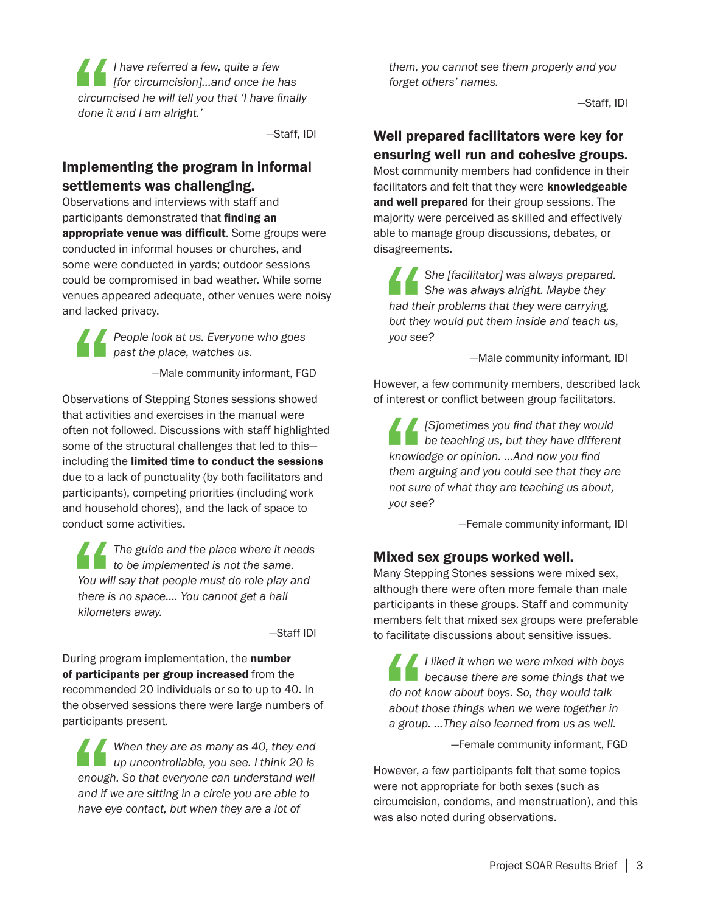circum<br>done it *I have referred a few, quite a few [for circumcision]…and once he has circumcised he will tell you that 'I have finally done it and I am alright.'* 

—Staff, IDI

#### Implementing the program in informal settlements was challenging.

Observations and interviews with staff and participants demonstrated that finding an appropriate venue was difficult. Some groups were conducted in informal houses or churches, and some were conducted in yards; outdoor sessions could be compromised in bad weather. While some venues appeared adequate, other venues were noisy and lacked privacy.

> *People look at us. Everyone who goes past the place, watches us.*

> > —Male community informant, FGD

Servation Observations of Stepping Stones sessions showed that activities and exercises in the manual were often not followed. Discussions with staff highlighted some of the structural challenges that led to this including the limited time to conduct the sessions due to a lack of punctuality (by both facilitators and participants), competing priorities (including work and household chores), and the lack of space to conduct some activities.

You will<br>"You will<br>there is<br>kilomet *The guide and the place where it needs to be implemented is not the same. You will say that people must do role play and there is no space…. You cannot get a hall kilometers away.*

—Staff IDI

During program implementation, the number of participants per group increased from the recommended 20 individuals or so to up to 40. In the observed sessions there were large numbers of participants present.

enough<br>
and if v<br>
have ey *When they are as many as 40, they end up uncontrollable, you see. I think 20 is enough. So that everyone can understand well and if we are sitting in a circle you are able to have eye contact, but when they are a lot of* 

*them, you cannot see them properly and you forget others' names.* 

—Staff, IDI

#### Well prepared facilitators were key for ensuring well run and cohesive groups.

Most community members had confidence in their facilitators and felt that they were knowledgeable and well prepared for their group sessions. The majority were perceived as skilled and effectively able to manage group discussions, debates, or disagreements.

had the<br>had the<br>you see *She [facilitator] was always prepared. She was always alright. Maybe they had their problems that they were carrying, but they would put them inside and teach us, you see?* 

—Male community informant, IDI

However, a few community members, described lack of interest or conflict between group facilitators.

knowle<br>
them a<br>
not sur<br>
you see *[S]ometimes you find that they would be teaching us, but they have different knowledge or opinion. …And now you find them arguing and you could see that they are not sure of what they are teaching us about, you see?* 

—Female community informant, IDI

#### Mixed sex groups worked well.

Many Stepping Stones sessions were mixed sex, although there were often more female than male participants in these groups. Staff and community members felt that mixed sex groups were preferable to facilitate discussions about sensitive issues.

do not<br>about t<br>a group *I liked it when we were mixed with boys because there are some things that we do not know about boys. So, they would talk about those things when we were together in a group. …They also learned from us as well.* 

—Female community informant, FGD

However, a few participants felt that some topics were not appropriate for both sexes (such as circumcision, condoms, and menstruation), and this was also noted during observations.